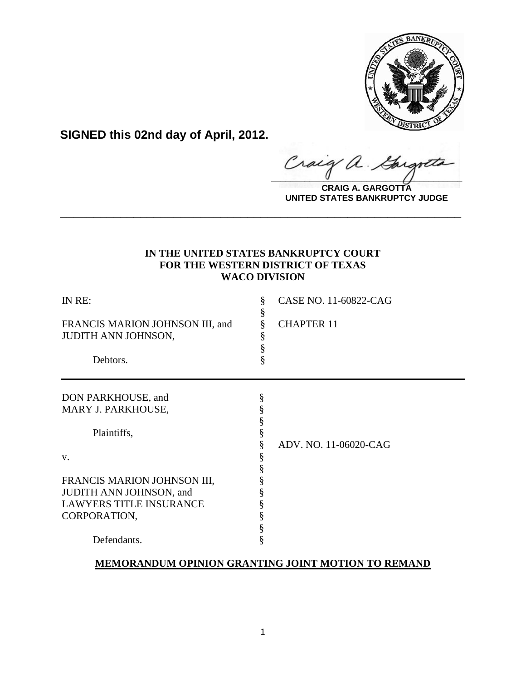

**SIGNED this 02nd day of April, 2012.**

**\_\_\_\_\_\_\_\_\_\_\_\_\_\_\_\_\_\_\_\_\_\_\_\_\_\_\_\_\_\_\_\_\_\_\_\_\_\_\_\_**

**CRAIG A. GARGOTTA UNITED STATES BANKRUPTCY JUDGE**

# **IN THE UNITED STATES BANKRUPTCY COURT FOR THE WESTERN DISTRICT OF TEXAS WACO DIVISION**

**\_\_\_\_\_\_\_\_\_\_\_\_\_\_\_\_\_\_\_\_\_\_\_\_\_\_\_\_\_\_\_\_\_\_\_\_\_\_\_\_\_\_\_\_\_\_\_\_\_\_\_\_\_\_\_\_\_\_\_\_**

| IN RE:                                                        | §           | CASE NO. 11-60822-CAG |
|---------------------------------------------------------------|-------------|-----------------------|
| FRANCIS MARION JOHNSON III, and<br><b>JUDITH ANN JOHNSON,</b> | ş<br>ş<br>ş | <b>CHAPTER 11</b>     |
| Debtors.                                                      | §           |                       |
|                                                               |             |                       |
| DON PARKHOUSE, and                                            | ş           |                       |
| MARY J. PARKHOUSE,                                            | §           |                       |
|                                                               | ş           |                       |
| Plaintiffs,                                                   |             |                       |
|                                                               |             | ADV. NO. 11-06020-CAG |
| V.                                                            | §           |                       |
|                                                               |             |                       |
| FRANCIS MARION JOHNSON III,                                   |             |                       |
| JUDITH ANN JOHNSON, and                                       |             |                       |
| <b>LAWYERS TITLE INSURANCE</b>                                |             |                       |
| CORPORATION,                                                  |             |                       |
|                                                               | §           |                       |
| Defendants.                                                   |             |                       |

# **MEMORANDUM OPINION GRANTING JOINT MOTION TO REMAND**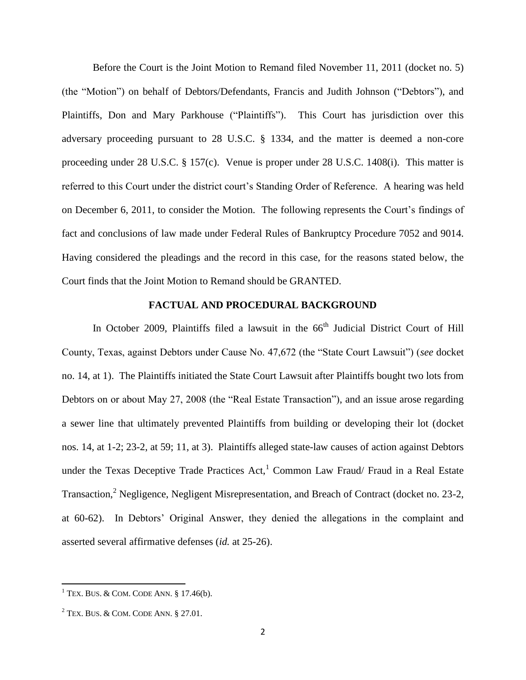Before the Court is the Joint Motion to Remand filed November 11, 2011 (docket no. 5) (the "Motion") on behalf of Debtors/Defendants, Francis and Judith Johnson ("Debtors"), and Plaintiffs, Don and Mary Parkhouse ("Plaintiffs"). This Court has jurisdiction over this adversary proceeding pursuant to 28 U.S.C. § 1334, and the matter is deemed a non-core proceeding under 28 U.S.C. § 157(c). Venue is proper under 28 U.S.C. 1408(i). This matter is referred to this Court under the district court's Standing Order of Reference. A hearing was held on December 6, 2011, to consider the Motion. The following represents the Court's findings of fact and conclusions of law made under Federal Rules of Bankruptcy Procedure 7052 and 9014. Having considered the pleadings and the record in this case, for the reasons stated below, the Court finds that the Joint Motion to Remand should be GRANTED.

# **FACTUAL AND PROCEDURAL BACKGROUND**

In October 2009, Plaintiffs filed a lawsuit in the  $66<sup>th</sup>$  Judicial District Court of Hill County, Texas, against Debtors under Cause No. 47,672 (the "State Court Lawsuit") (*see* docket no. 14, at 1). The Plaintiffs initiated the State Court Lawsuit after Plaintiffs bought two lots from Debtors on or about May 27, 2008 (the "Real Estate Transaction"), and an issue arose regarding a sewer line that ultimately prevented Plaintiffs from building or developing their lot (docket nos. 14, at 1-2; 23-2, at 59; 11, at 3). Plaintiffs alleged state-law causes of action against Debtors under the Texas Deceptive Trade Practices  $Act<sub>1</sub><sup>1</sup>$  Common Law Fraud/ Fraud in a Real Estate Transaction,<sup>2</sup> Negligence, Negligent Misrepresentation, and Breach of Contract (docket no. 23-2, at 60-62). In Debtors' Original Answer, they denied the allegations in the complaint and asserted several affirmative defenses (*id.* at 25-26).

 $1$  Tex. Bus. & COM. CODE ANN. § 17.46(b).

 $2$  Tex. Bus. & COM. CODE ANN. § 27.01.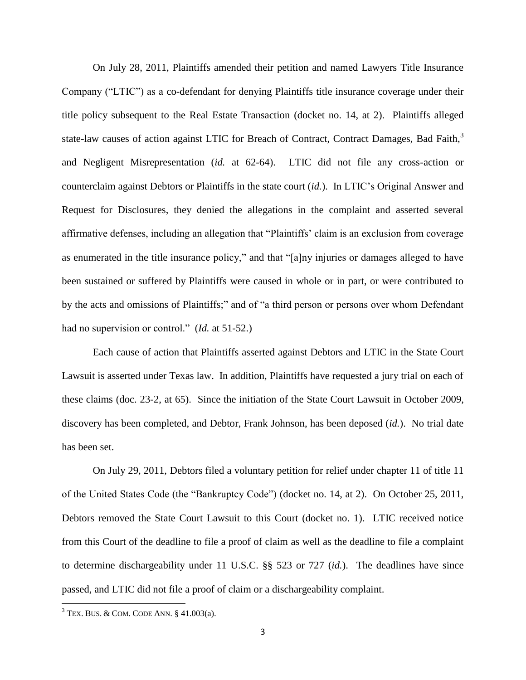On July 28, 2011, Plaintiffs amended their petition and named Lawyers Title Insurance Company ("LTIC") as a co-defendant for denying Plaintiffs title insurance coverage under their title policy subsequent to the Real Estate Transaction (docket no. 14, at 2). Plaintiffs alleged state-law causes of action against LTIC for Breach of Contract, Contract Damages, Bad Faith,<sup>3</sup> and Negligent Misrepresentation (*id.* at 62-64). LTIC did not file any cross-action or counterclaim against Debtors or Plaintiffs in the state court (*id.*). In LTIC's Original Answer and Request for Disclosures, they denied the allegations in the complaint and asserted several affirmative defenses, including an allegation that "Plaintiffs' claim is an exclusion from coverage as enumerated in the title insurance policy," and that "[a]ny injuries or damages alleged to have been sustained or suffered by Plaintiffs were caused in whole or in part, or were contributed to by the acts and omissions of Plaintiffs;" and of "a third person or persons over whom Defendant had no supervision or control." (*Id.* at 51-52.)

Each cause of action that Plaintiffs asserted against Debtors and LTIC in the State Court Lawsuit is asserted under Texas law. In addition, Plaintiffs have requested a jury trial on each of these claims (doc. 23-2, at 65). Since the initiation of the State Court Lawsuit in October 2009, discovery has been completed, and Debtor, Frank Johnson, has been deposed (*id.*). No trial date has been set.

On July 29, 2011, Debtors filed a voluntary petition for relief under chapter 11 of title 11 of the United States Code (the "Bankruptcy Code") (docket no. 14, at 2). On October 25, 2011, Debtors removed the State Court Lawsuit to this Court (docket no. 1). LTIC received notice from this Court of the deadline to file a proof of claim as well as the deadline to file a complaint to determine dischargeability under 11 U.S.C. §§ 523 or 727 (*id.*). The deadlines have since passed, and LTIC did not file a proof of claim or a dischargeability complaint.

 $3$  Tex. Bus. & Com. Code Ann. § 41.003(a).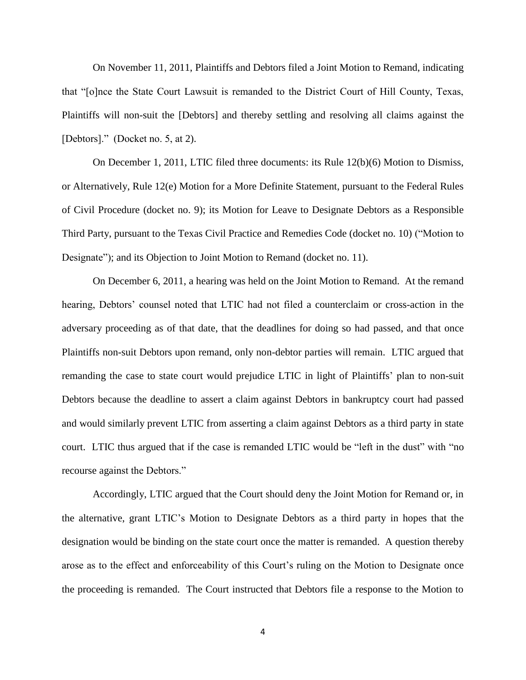On November 11, 2011, Plaintiffs and Debtors filed a Joint Motion to Remand, indicating that "[o]nce the State Court Lawsuit is remanded to the District Court of Hill County, Texas, Plaintiffs will non-suit the [Debtors] and thereby settling and resolving all claims against the [Debtors]." (Docket no. 5, at 2).

On December 1, 2011, LTIC filed three documents: its Rule 12(b)(6) Motion to Dismiss, or Alternatively, Rule 12(e) Motion for a More Definite Statement, pursuant to the Federal Rules of Civil Procedure (docket no. 9); its Motion for Leave to Designate Debtors as a Responsible Third Party, pursuant to the Texas Civil Practice and Remedies Code (docket no. 10) ("Motion to Designate"); and its Objection to Joint Motion to Remand (docket no. 11).

On December 6, 2011, a hearing was held on the Joint Motion to Remand. At the remand hearing, Debtors' counsel noted that LTIC had not filed a counterclaim or cross-action in the adversary proceeding as of that date, that the deadlines for doing so had passed, and that once Plaintiffs non-suit Debtors upon remand, only non-debtor parties will remain. LTIC argued that remanding the case to state court would prejudice LTIC in light of Plaintiffs' plan to non-suit Debtors because the deadline to assert a claim against Debtors in bankruptcy court had passed and would similarly prevent LTIC from asserting a claim against Debtors as a third party in state court. LTIC thus argued that if the case is remanded LTIC would be "left in the dust" with "no recourse against the Debtors."

Accordingly, LTIC argued that the Court should deny the Joint Motion for Remand or, in the alternative, grant LTIC's Motion to Designate Debtors as a third party in hopes that the designation would be binding on the state court once the matter is remanded. A question thereby arose as to the effect and enforceability of this Court's ruling on the Motion to Designate once the proceeding is remanded. The Court instructed that Debtors file a response to the Motion to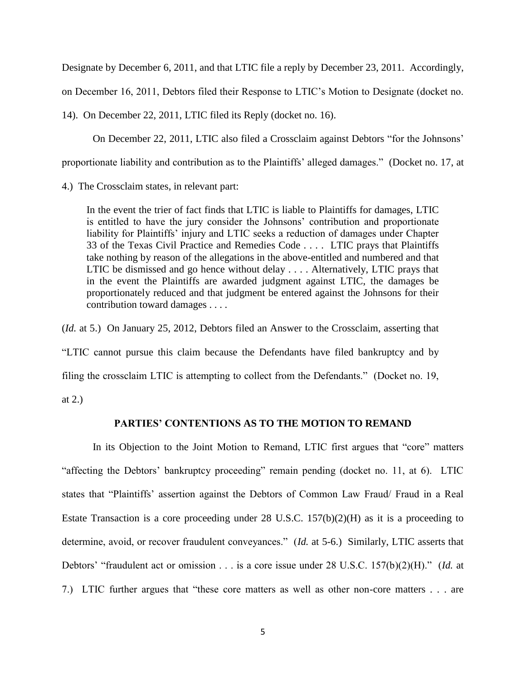Designate by December 6, 2011, and that LTIC file a reply by December 23, 2011. Accordingly,

on December 16, 2011, Debtors filed their Response to LTIC's Motion to Designate (docket no.

14). On December 22, 2011, LTIC filed its Reply (docket no. 16).

On December 22, 2011, LTIC also filed a Crossclaim against Debtors "for the Johnsons'

proportionate liability and contribution as to the Plaintiffs' alleged damages." (Docket no. 17, at

4.) The Crossclaim states, in relevant part:

In the event the trier of fact finds that LTIC is liable to Plaintiffs for damages, LTIC is entitled to have the jury consider the Johnsons' contribution and proportionate liability for Plaintiffs' injury and LTIC seeks a reduction of damages under Chapter 33 of the Texas Civil Practice and Remedies Code . . . . LTIC prays that Plaintiffs take nothing by reason of the allegations in the above-entitled and numbered and that LTIC be dismissed and go hence without delay . . . . Alternatively, LTIC prays that in the event the Plaintiffs are awarded judgment against LTIC, the damages be proportionately reduced and that judgment be entered against the Johnsons for their contribution toward damages . . . .

(*Id.* at 5.) On January 25, 2012, Debtors filed an Answer to the Crossclaim, asserting that

"LTIC cannot pursue this claim because the Defendants have filed bankruptcy and by

filing the crossclaim LTIC is attempting to collect from the Defendants." (Docket no. 19,

at 2.)

## **PARTIES' CONTENTIONS AS TO THE MOTION TO REMAND**

In its Objection to the Joint Motion to Remand, LTIC first argues that "core" matters "affecting the Debtors' bankruptcy proceeding" remain pending (docket no. 11, at 6). LTIC states that "Plaintiffs' assertion against the Debtors of Common Law Fraud/ Fraud in a Real Estate Transaction is a core proceeding under 28 U.S.C. 157(b)(2)(H) as it is a proceeding to determine, avoid, or recover fraudulent conveyances." (*Id.* at 5-6.) Similarly, LTIC asserts that Debtors' "fraudulent act or omission . . . is a core issue under 28 U.S.C. 157(b)(2)(H)." (*Id.* at 7.) LTIC further argues that "these core matters as well as other non-core matters . . . are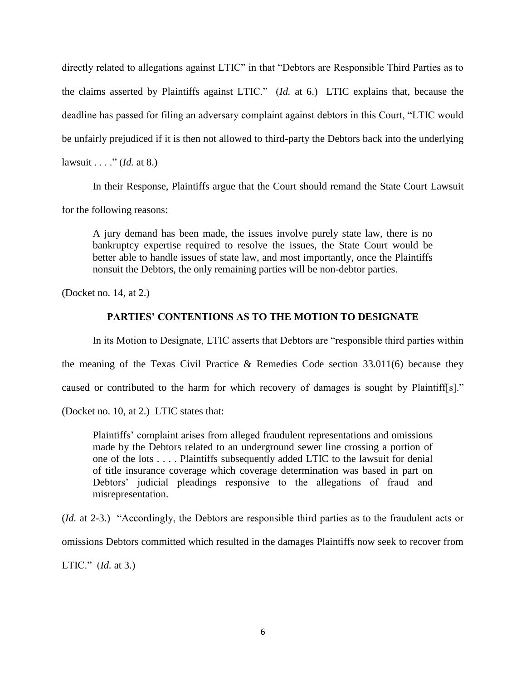directly related to allegations against LTIC" in that "Debtors are Responsible Third Parties as to the claims asserted by Plaintiffs against LTIC." (*Id.* at 6.) LTIC explains that, because the deadline has passed for filing an adversary complaint against debtors in this Court, "LTIC would be unfairly prejudiced if it is then not allowed to third-party the Debtors back into the underlying lawsuit . . . ." (*Id.* at 8.)

In their Response, Plaintiffs argue that the Court should remand the State Court Lawsuit

for the following reasons:

A jury demand has been made, the issues involve purely state law, there is no bankruptcy expertise required to resolve the issues, the State Court would be better able to handle issues of state law, and most importantly, once the Plaintiffs nonsuit the Debtors, the only remaining parties will be non-debtor parties.

(Docket no. 14, at 2.)

# **PARTIES' CONTENTIONS AS TO THE MOTION TO DESIGNATE**

In its Motion to Designate, LTIC asserts that Debtors are "responsible third parties within

the meaning of the Texas Civil Practice & Remedies Code section 33.011(6) because they

caused or contributed to the harm for which recovery of damages is sought by Plaintiff[s]."

(Docket no. 10, at 2.) LTIC states that:

Plaintiffs' complaint arises from alleged fraudulent representations and omissions made by the Debtors related to an underground sewer line crossing a portion of one of the lots . . . . Plaintiffs subsequently added LTIC to the lawsuit for denial of title insurance coverage which coverage determination was based in part on Debtors' judicial pleadings responsive to the allegations of fraud and misrepresentation.

(*Id.* at 2-3.) "Accordingly, the Debtors are responsible third parties as to the fraudulent acts or omissions Debtors committed which resulted in the damages Plaintiffs now seek to recover from LTIC." (*Id.* at 3.)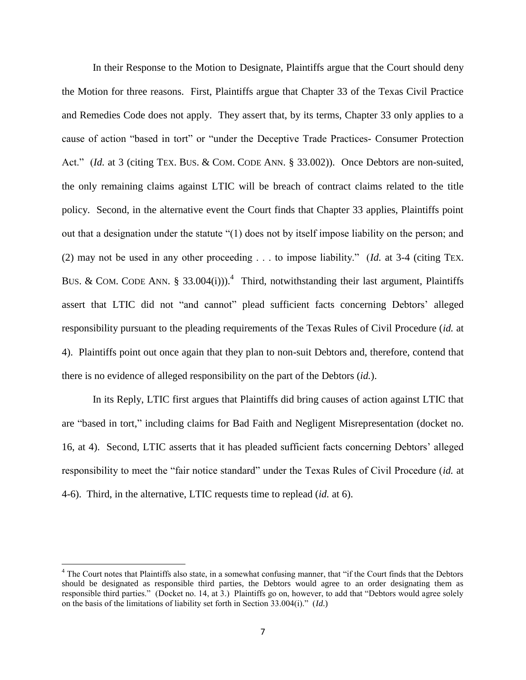In their Response to the Motion to Designate, Plaintiffs argue that the Court should deny the Motion for three reasons. First, Plaintiffs argue that Chapter 33 of the Texas Civil Practice and Remedies Code does not apply. They assert that, by its terms, Chapter 33 only applies to a cause of action "based in tort" or "under the Deceptive Trade Practices- Consumer Protection Act." *(Id.* at 3 (citing TEX. BUS. & COM. CODE ANN. § 33.002)). Once Debtors are non-suited, the only remaining claims against LTIC will be breach of contract claims related to the title policy. Second, in the alternative event the Court finds that Chapter 33 applies, Plaintiffs point out that a designation under the statute "(1) does not by itself impose liability on the person; and (2) may not be used in any other proceeding . . . to impose liability." (*Id.* at 3-4 (citing TEX. BUS. & COM. CODE ANN. § 33.004(i))).<sup>4</sup> Third, notwithstanding their last argument, Plaintiffs assert that LTIC did not "and cannot" plead sufficient facts concerning Debtors' alleged responsibility pursuant to the pleading requirements of the Texas Rules of Civil Procedure (*id.* at 4). Plaintiffs point out once again that they plan to non-suit Debtors and, therefore, contend that there is no evidence of alleged responsibility on the part of the Debtors (*id.*).

In its Reply, LTIC first argues that Plaintiffs did bring causes of action against LTIC that are "based in tort," including claims for Bad Faith and Negligent Misrepresentation (docket no. 16, at 4). Second, LTIC asserts that it has pleaded sufficient facts concerning Debtors' alleged responsibility to meet the "fair notice standard" under the Texas Rules of Civil Procedure (*id.* at 4-6). Third, in the alternative, LTIC requests time to replead (*id.* at 6).

 $\overline{a}$ 

<sup>&</sup>lt;sup>4</sup> The Court notes that Plaintiffs also state, in a somewhat confusing manner, that "if the Court finds that the Debtors should be designated as responsible third parties, the Debtors would agree to an order designating them as responsible third parties." (Docket no. 14, at 3.) Plaintiffs go on, however, to add that "Debtors would agree solely on the basis of the limitations of liability set forth in Section 33.004(i)." (*Id*.)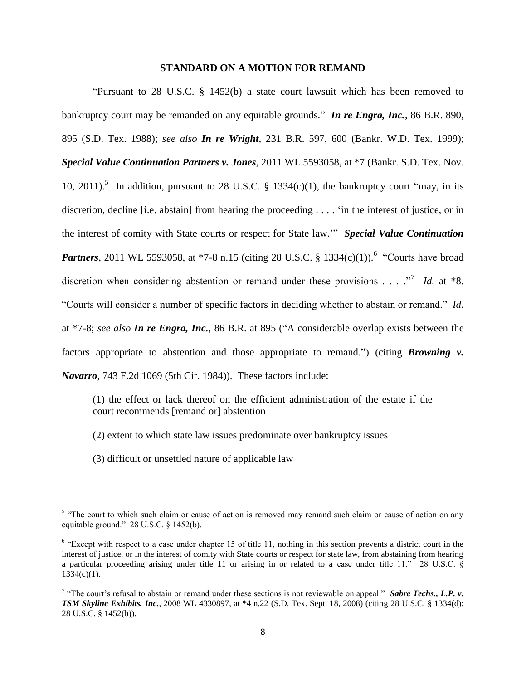### **STANDARD ON A MOTION FOR REMAND**

"Pursuant to 28 U.S.C. § 1452(b) a state court lawsuit which has been removed to bankruptcy court may be remanded on any equitable grounds." *In re Engra, Inc.*, 86 B.R. 890, 895 (S.D. Tex. 1988); *see also In re Wright*, 231 B.R. 597, 600 (Bankr. W.D. Tex. 1999); *Special Value Continuation Partners v. Jones*, 2011 WL 5593058, at \*7 (Bankr. S.D. Tex. Nov. 10, 2011).<sup>5</sup> In addition, pursuant to 28 U.S.C. § 1334(c)(1), the bankruptcy court "may, in its discretion, decline [i.e. abstain] from hearing the proceeding . . . . 'in the interest of justice, or in the interest of comity with State courts or respect for State law.'" *Special Value Continuation* **Partners**, 2011 WL 5593058, at \*7-8 n.15 (citing 28 U.S.C. § 1334(c)(1)).<sup>6</sup> "Courts have broad discretion when considering abstention or remand under these provisions  $\ldots$  ."<sup>7</sup> *Id.* at \*8. "Courts will consider a number of specific factors in deciding whether to abstain or remand." *Id.* at \*7-8; *see also In re Engra, Inc.*, 86 B.R. at 895 ("A considerable overlap exists between the factors appropriate to abstention and those appropriate to remand.") (citing *Browning v. Navarro,* [743 F.2d 1069 \(5th Cir.](http://www.westlaw.com/Find/Default.wl?rs=dfa1.0&vr=2.0&DB=350&FindType=Y&SerialNum=1984145654) 1984)). These factors include:

(1) the effect or lack thereof on the efficient administration of the estate if the court recommends [remand or] abstention

(2) extent to which state law issues predominate over bankruptcy issues

(3) difficult or unsettled nature of applicable law

<sup>&</sup>lt;sup>5</sup> "The court to which such claim or cause of action is removed may remand such claim or cause of action on any equitable ground." 28 U.S.C. § 1452(b).

 $6$  "Except with respect to a case under chapter 15 of title 11, nothing in this section prevents a district court in the interest of justice, or in the interest of comity with State courts or respect for state law, from abstaining from hearing a particular proceeding arising under title 11 or arising in or related to a case under title 11." 28 U.S.C. §  $1334(c)(1)$ .

<sup>&</sup>lt;sup>7</sup> "The court's refusal to abstain or remand under these sections is not reviewable on appeal." *Sabre Techs., L.P. v. TSM Skyline Exhibits, Inc.*, 2008 WL 4330897, at \*4 n.22 (S.D. Tex. Sept. 18, 2008) (citing 28 U.S.C. § 1334(d); 28 U.S.C. § 1452(b)).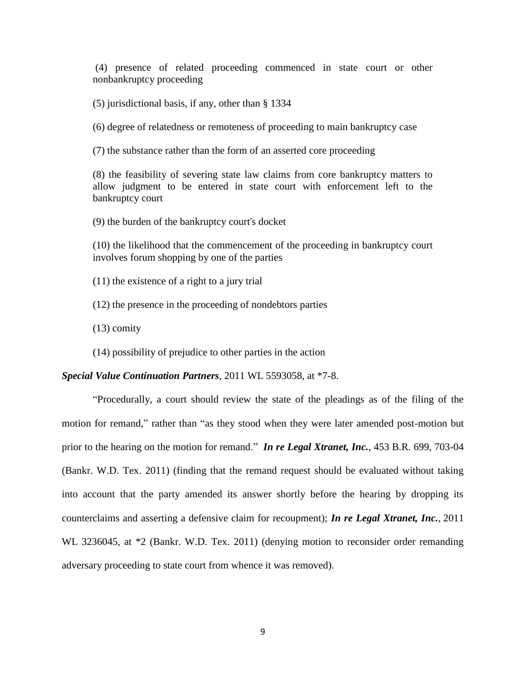(4) presence of related proceeding commenced in state court or other nonbankruptcy proceeding

(5) jurisdictional basis, if any, other than § 1334

(6) degree of relatedness or remoteness of proceeding to main bankruptcy case

(7) the substance rather than the form of an asserted core proceeding

(8) the feasibility of severing state law claims from core bankruptcy matters to allow judgment to be entered in state court with enforcement left to the bankruptcy court

(9) the burden of the bankruptcy court's docket

(10) the likelihood that the commencement of the proceeding in bankruptcy court involves forum shopping by one of the parties

(11) the existence of a right to a jury trial

(12) the presence in the proceeding of nondebtors parties

(13) comity

(14) possibility of prejudice to other parties in the action

*Special Value Continuation Partners*, 2011 WL 5593058, at \*7-8.

"Procedurally, a court should review the state of the pleadings as of the filing of the motion for remand," rather than "as they stood when they were later amended post-motion but prior to the hearing on the motion for remand." *In re Legal Xtranet, Inc.*, 453 B.R. 699, 703-04 (Bankr. W.D. Tex. 2011) (finding that the remand request should be evaluated without taking into account that the party amended its answer shortly before the hearing by dropping its counterclaims and asserting a defensive claim for recoupment); *In re Legal Xtranet, Inc.*, 2011 WL 3236045, at \*2 (Bankr. W.D. Tex. 2011) (denying motion to reconsider order remanding adversary proceeding to state court from whence it was removed).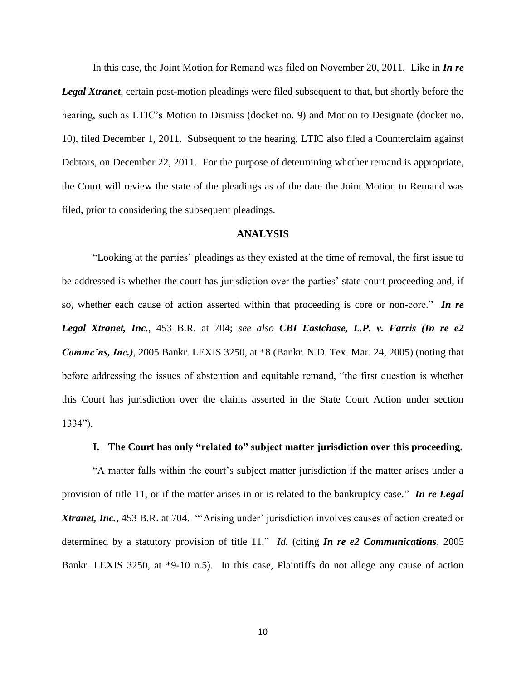In this case, the Joint Motion for Remand was filed on November 20, 2011. Like in *In re* 

*Legal Xtranet*, certain post-motion pleadings were filed subsequent to that, but shortly before the hearing, such as LTIC's Motion to Dismiss (docket no. 9) and Motion to Designate (docket no. 10), filed December 1, 2011. Subsequent to the hearing, LTIC also filed a Counterclaim against Debtors, on December 22, 2011. For the purpose of determining whether remand is appropriate, the Court will review the state of the pleadings as of the date the Joint Motion to Remand was filed, prior to considering the subsequent pleadings.

## **ANALYSIS**

"Looking at the parties' pleadings as they existed at the time of removal, the first issue to be addressed is whether the court has jurisdiction over the parties' state court proceeding and, if so, whether each cause of action asserted within that proceeding is core or non-core." *In re Legal Xtranet, Inc.*, 453 B.R. at 704; *see also CBI Eastchase, L.P. v. Farris (In re e2 Commc'ns, Inc.)*, 2005 Bankr. LEXIS 3250, at \*8 (Bankr. N.D. Tex. Mar. 24, 2005) (noting that before addressing the issues of abstention and equitable remand, "the first question is whether this Court has jurisdiction over the claims asserted in the State Court Action under section 1334").

### **I. The Court has only "related to" subject matter jurisdiction over this proceeding.**

"A matter falls within the court's subject matter jurisdiction if the matter arises under a provision of title 11, or if the matter arises in or is related to the bankruptcy case." *In re Legal Xtranet, Inc.*, 453 B.R. at 704. "'Arising under' jurisdiction involves causes of action created or determined by a statutory provision of title 11." *Id.* (citing *In re e2 Communications*, 2005 Bankr. LEXIS 3250, at \*9-10 n.5). In this case, Plaintiffs do not allege any cause of action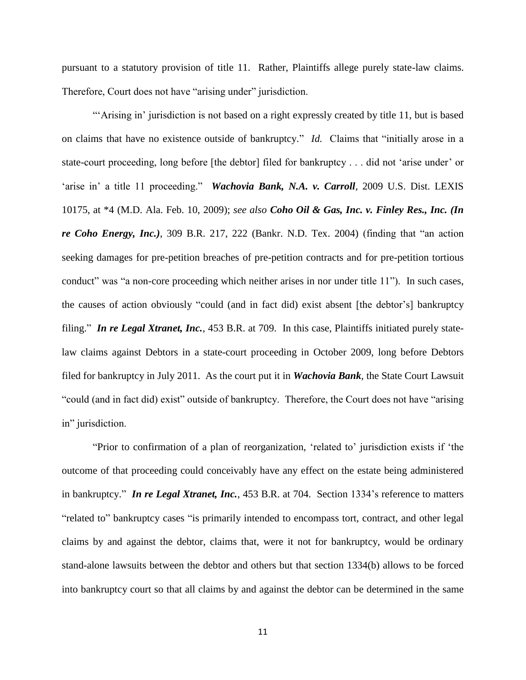pursuant to a statutory provision of title 11. Rather, Plaintiffs allege purely state-law claims. Therefore, Court does not have "arising under" jurisdiction.

"'Arising in' jurisdiction is not based on a right expressly created by title 11, but is based on claims that have no existence outside of bankruptcy." *Id.* Claims that "initially arose in a state-court proceeding, long before [the debtor] filed for bankruptcy . . . did not 'arise under' or 'arise in' a title 11 proceeding." *Wachovia Bank, N.A. v. Carroll*, 2009 U.S. Dist. LEXIS 10175, at \*4 (M.D. Ala. Feb. 10, 2009); *see also Coho Oil & Gas, Inc. v. Finley Res., Inc. (In re Coho Energy, Inc.)*, 309 B.R. 217, 222 (Bankr. N.D. Tex. 2004) (finding that "an action seeking damages for pre-petition breaches of pre-petition contracts and for pre-petition tortious conduct" was "a non-core proceeding which neither arises in nor under title 11"). In such cases, the causes of action obviously "could (and in fact did) exist absent [the debtor's] bankruptcy filing." *In re Legal Xtranet, Inc.*, 453 B.R. at 709. In this case, Plaintiffs initiated purely statelaw claims against Debtors in a state-court proceeding in October 2009, long before Debtors filed for bankruptcy in July 2011. As the court put it in *Wachovia Bank*, the State Court Lawsuit "could (and in fact did) exist" outside of bankruptcy. Therefore, the Court does not have "arising in" jurisdiction.

"Prior to confirmation of a plan of reorganization, 'related to' jurisdiction exists if 'the outcome of that proceeding could conceivably have any effect on the estate being administered in bankruptcy." *In re Legal Xtranet, Inc.*, 453 B.R. at 704. Section 1334's reference to matters "related to" bankruptcy cases "is primarily intended to encompass tort, contract, and other legal claims by and against the debtor, claims that, were it not for bankruptcy, would be ordinary stand-alone lawsuits between the debtor and others but that section 1334(b) allows to be forced into bankruptcy court so that all claims by and against the debtor can be determined in the same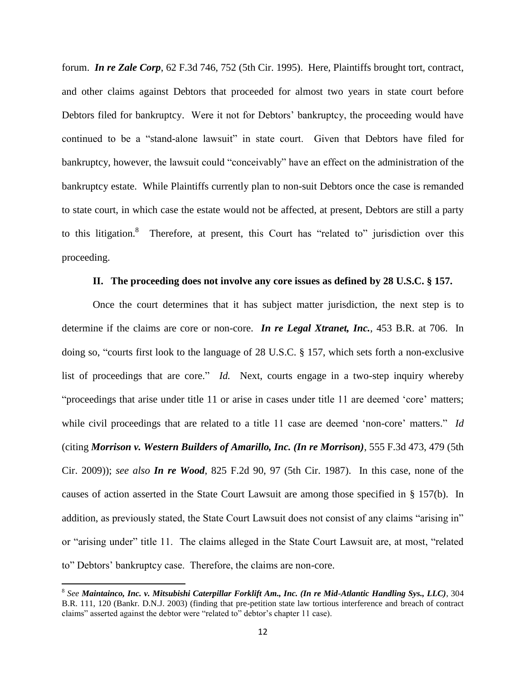forum. *In re Zale Corp*, 62 F.3d 746, 752 (5th Cir. 1995). Here, Plaintiffs brought tort, contract, and other claims against Debtors that proceeded for almost two years in state court before Debtors filed for bankruptcy. Were it not for Debtors' bankruptcy, the proceeding would have continued to be a "stand-alone lawsuit" in state court. Given that Debtors have filed for bankruptcy, however, the lawsuit could "conceivably" have an effect on the administration of the bankruptcy estate. While Plaintiffs currently plan to non-suit Debtors once the case is remanded to state court, in which case the estate would not be affected, at present, Debtors are still a party to this litigation.<sup>8</sup> Therefore, at present, this Court has "related to" jurisdiction over this proceeding.

### **II. The proceeding does not involve any core issues as defined by 28 U.S.C. § 157.**

Once the court determines that it has subject matter jurisdiction, the next step is to determine if the claims are core or non-core. *In re Legal Xtranet, Inc.*, 453 B.R. at 706. In doing so, "courts first look to the language of 28 U.S.C. § 157, which sets forth a non-exclusive list of proceedings that are core." *Id.* Next, courts engage in a two-step inquiry whereby "proceedings that arise under title 11 or arise in cases under title 11 are deemed 'core' matters; while civil proceedings that are related to a title 11 case are deemed 'non-core' matters." *Id* (citing *Morrison v. Western Builders of Amarillo, Inc. (In re Morrison)*, 555 F.3d 473, 479 (5th Cir. 2009)); *see also In re Wood*, 825 F.2d 90, 97 (5th Cir. 1987). In this case, none of the causes of action asserted in the State Court Lawsuit are among those specified in § 157(b). In addition, as previously stated, the State Court Lawsuit does not consist of any claims "arising in" or "arising under" title 11. The claims alleged in the State Court Lawsuit are, at most, "related to" Debtors' bankruptcy case. Therefore, the claims are non-core.

<sup>8</sup> *See Maintainco, Inc. v. Mitsubishi Caterpillar Forklift Am., Inc. (In re Mid-Atlantic Handling Sys., LLC)*, 304 B.R. 111, 120 (Bankr. D.N.J. 2003) (finding that pre-petition state law tortious interference and breach of contract claims" asserted against the debtor were "related to" debtor's chapter 11 case).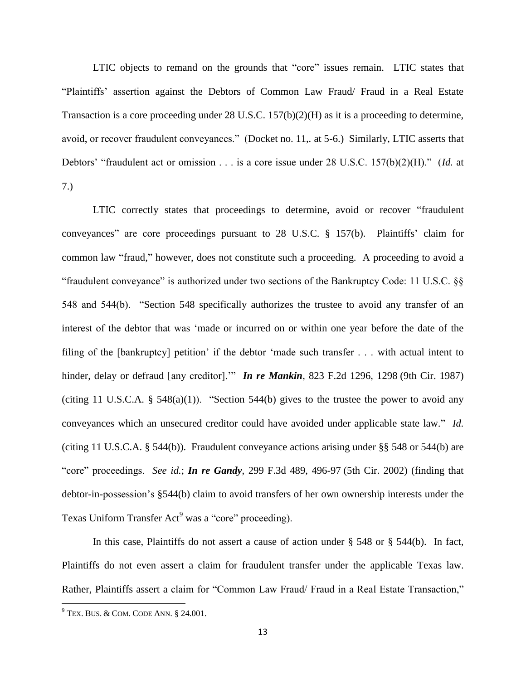LTIC objects to remand on the grounds that "core" issues remain. LTIC states that "Plaintiffs' assertion against the Debtors of Common Law Fraud/ Fraud in a Real Estate Transaction is a core proceeding under 28 U.S.C. 157(b)(2)(H) as it is a proceeding to determine, avoid, or recover fraudulent conveyances." (Docket no. 11,*.* at 5-6.) Similarly, LTIC asserts that Debtors' "fraudulent act or omission . . . is a core issue under 28 U.S.C. 157(b)(2)(H)." (*Id.* at 7.)

LTIC correctly states that proceedings to determine, avoid or recover "fraudulent conveyances" are core proceedings pursuant to 28 U.S.C. § 157(b). Plaintiffs' claim for common law "fraud," however, does not constitute such a proceeding. A proceeding to avoid a "fraudulent conveyance" is authorized under two sections of the Bankruptcy Code: 11 U.S.C. §§ 548 and 544(b). "Section 548 specifically authorizes the trustee to avoid any transfer of an interest of the debtor that was 'made or incurred on or within one year before the date of the filing of the [bankruptcy] petition' if the debtor 'made such transfer . . . with actual intent to hinder, delay or defraud [any creditor].'" *In re Mankin*, 823 F.2d 1296, 1298 (9th Cir. 1987) (citing 11 U.S.C.A.  $\S$  548(a)(1)). "Section 544(b) gives to the trustee the power to avoid any conveyances which an unsecured creditor could have avoided under applicable state law." *Id.* (citing 11 U.S.C.A. § 544(b)). Fraudulent conveyance actions arising under §§ 548 or 544(b) are "core" proceedings. *See id.*; *In re Gandy*, 299 F.3d 489, 496-97 (5th Cir. 2002) (finding that debtor-in-possession's §544(b) claim to avoid transfers of her own ownership interests under the Texas Uniform Transfer Act<sup>9</sup> was a "core" proceeding).

In this case, Plaintiffs do not assert a cause of action under § 548 or § 544(b). In fact, Plaintiffs do not even assert a claim for fraudulent transfer under the applicable Texas law. Rather, Plaintiffs assert a claim for "Common Law Fraud/ Fraud in a Real Estate Transaction,"

 $9$ <sup>9</sup> TEX. BUS. & COM. CODE ANN. § 24.001.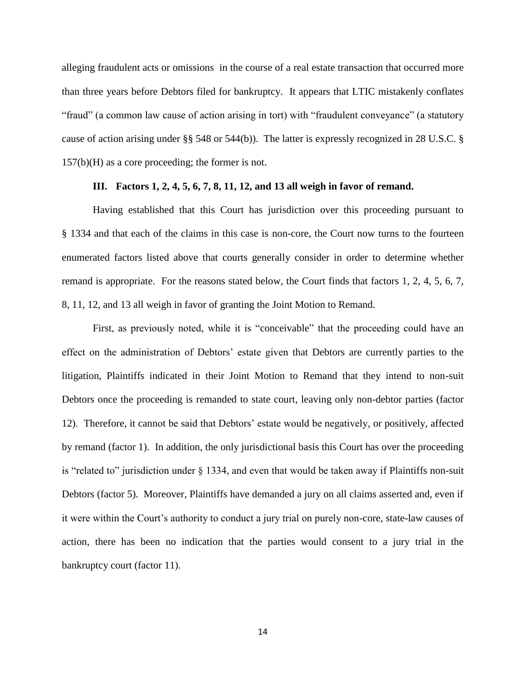alleging fraudulent acts or omissions in the course of a real estate transaction that occurred more than three years before Debtors filed for bankruptcy. It appears that LTIC mistakenly conflates "fraud" (a common law cause of action arising in tort) with "fraudulent conveyance" (a statutory cause of action arising under §§ 548 or 544(b)). The latter is expressly recognized in 28 U.S.C. § 157(b)(H) as a core proceeding; the former is not.

## **III. Factors 1, 2, 4, 5, 6, 7, 8, 11, 12, and 13 all weigh in favor of remand.**

Having established that this Court has jurisdiction over this proceeding pursuant to § 1334 and that each of the claims in this case is non-core, the Court now turns to the fourteen enumerated factors listed above that courts generally consider in order to determine whether remand is appropriate. For the reasons stated below, the Court finds that factors 1, 2, 4, 5, 6, 7, 8, 11, 12, and 13 all weigh in favor of granting the Joint Motion to Remand.

First, as previously noted, while it is "conceivable" that the proceeding could have an effect on the administration of Debtors' estate given that Debtors are currently parties to the litigation, Plaintiffs indicated in their Joint Motion to Remand that they intend to non-suit Debtors once the proceeding is remanded to state court, leaving only non-debtor parties (factor 12). Therefore, it cannot be said that Debtors' estate would be negatively, or positively, affected by remand (factor 1). In addition, the only jurisdictional basis this Court has over the proceeding is "related to" jurisdiction under § 1334, and even that would be taken away if Plaintiffs non-suit Debtors (factor 5). Moreover, Plaintiffs have demanded a jury on all claims asserted and, even if it were within the Court's authority to conduct a jury trial on purely non-core, state-law causes of action, there has been no indication that the parties would consent to a jury trial in the bankruptcy court (factor 11).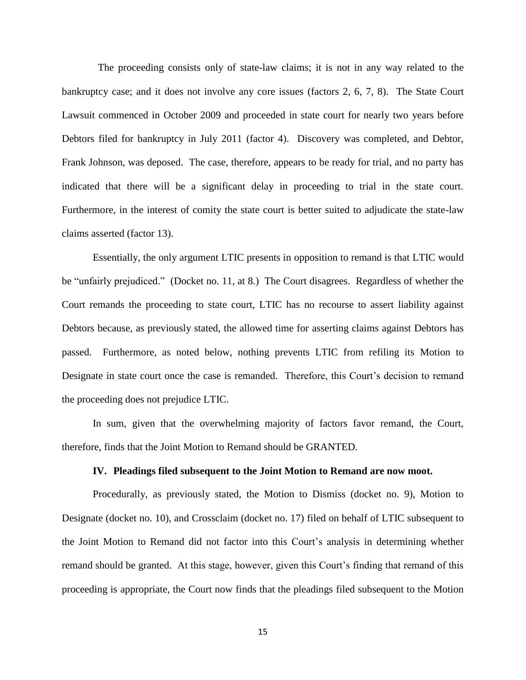The proceeding consists only of state-law claims; it is not in any way related to the bankruptcy case; and it does not involve any core issues (factors 2, 6, 7, 8). The State Court Lawsuit commenced in October 2009 and proceeded in state court for nearly two years before Debtors filed for bankruptcy in July 2011 (factor 4). Discovery was completed, and Debtor, Frank Johnson, was deposed. The case, therefore, appears to be ready for trial, and no party has indicated that there will be a significant delay in proceeding to trial in the state court. Furthermore, in the interest of comity the state court is better suited to adjudicate the state-law claims asserted (factor 13).

Essentially, the only argument LTIC presents in opposition to remand is that LTIC would be "unfairly prejudiced." (Docket no. 11, at 8.) The Court disagrees. Regardless of whether the Court remands the proceeding to state court, LTIC has no recourse to assert liability against Debtors because, as previously stated, the allowed time for asserting claims against Debtors has passed. Furthermore, as noted below, nothing prevents LTIC from refiling its Motion to Designate in state court once the case is remanded. Therefore, this Court's decision to remand the proceeding does not prejudice LTIC.

In sum, given that the overwhelming majority of factors favor remand, the Court, therefore, finds that the Joint Motion to Remand should be GRANTED.

#### **IV. Pleadings filed subsequent to the Joint Motion to Remand are now moot.**

Procedurally, as previously stated, the Motion to Dismiss (docket no. 9), Motion to Designate (docket no. 10), and Crossclaim (docket no. 17) filed on behalf of LTIC subsequent to the Joint Motion to Remand did not factor into this Court's analysis in determining whether remand should be granted. At this stage, however, given this Court's finding that remand of this proceeding is appropriate, the Court now finds that the pleadings filed subsequent to the Motion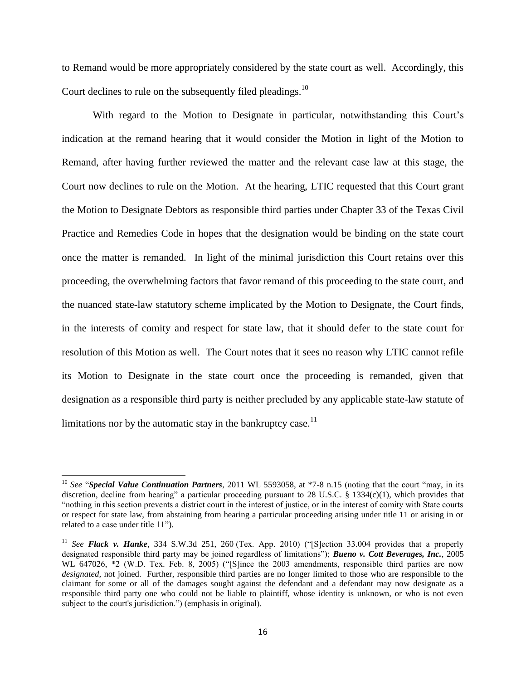to Remand would be more appropriately considered by the state court as well. Accordingly, this Court declines to rule on the subsequently filed pleadings.<sup>10</sup>

With regard to the Motion to Designate in particular, notwithstanding this Court's indication at the remand hearing that it would consider the Motion in light of the Motion to Remand, after having further reviewed the matter and the relevant case law at this stage, the Court now declines to rule on the Motion. At the hearing, LTIC requested that this Court grant the Motion to Designate Debtors as responsible third parties under Chapter 33 of the Texas Civil Practice and Remedies Code in hopes that the designation would be binding on the state court once the matter is remanded. In light of the minimal jurisdiction this Court retains over this proceeding, the overwhelming factors that favor remand of this proceeding to the state court, and the nuanced state-law statutory scheme implicated by the Motion to Designate, the Court finds, in the interests of comity and respect for state law, that it should defer to the state court for resolution of this Motion as well. The Court notes that it sees no reason why LTIC cannot refile its Motion to Designate in the state court once the proceeding is remanded, given that designation as a responsible third party is neither precluded by any applicable state-law statute of limitations nor by the automatic stay in the bankruptcy case.<sup>11</sup>

 $\overline{a}$ 

<sup>10</sup> *See* "*Special Value Continuation Partners*, 2011 WL 5593058, at \*7-8 n.15 (noting that the court "may, in its discretion, decline from hearing" a particular proceeding pursuant to 28 U.S.C. § 1334(c)(1), which provides that "nothing in this section prevents a district court in the interest of justice, or in the interest of comity with State courts or respect for state law, from abstaining from hearing a particular proceeding arising under title 11 or arising in or related to a case under title 11").

<sup>&</sup>lt;sup>11</sup> *See Flack v. Hanke*, 334 S.W.3d 251, 260 (Tex. App. 2010) ("[S]ection 33.004 provides that a properly designated responsible third party may be joined regardless of limitations"); *Bueno v. Cott Beverages, Inc.*, 2005 WL 647026, \*2 (W.D. Tex. Feb. 8, 2005) ("[S]ince the 2003 amendments, responsible third parties are now *designated,* not joined. Further, responsible third parties are no longer limited to those who are responsible to the claimant for some or all of the damages sought against the defendant and a defendant may now designate as a responsible third party one who could not be liable to plaintiff, whose identity is unknown, or who is not even subject to the court's jurisdiction.") (emphasis in original).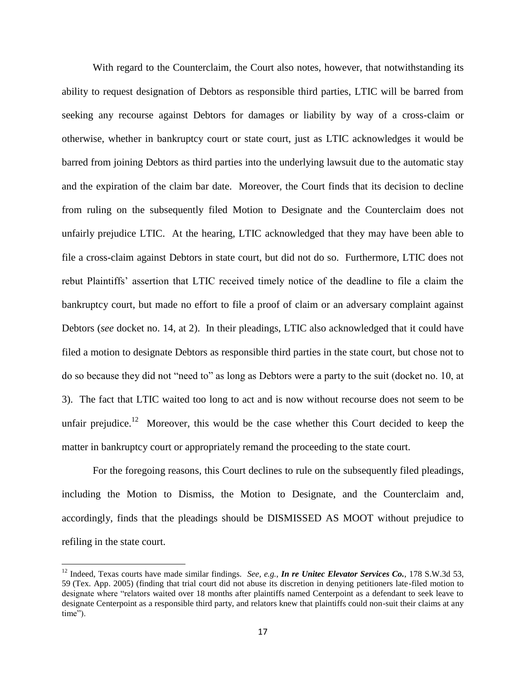With regard to the Counterclaim, the Court also notes, however, that notwithstanding its ability to request designation of Debtors as responsible third parties, LTIC will be barred from seeking any recourse against Debtors for damages or liability by way of a cross-claim or otherwise, whether in bankruptcy court or state court, just as LTIC acknowledges it would be barred from joining Debtors as third parties into the underlying lawsuit due to the automatic stay and the expiration of the claim bar date. Moreover, the Court finds that its decision to decline from ruling on the subsequently filed Motion to Designate and the Counterclaim does not unfairly prejudice LTIC. At the hearing, LTIC acknowledged that they may have been able to file a cross-claim against Debtors in state court, but did not do so. Furthermore, LTIC does not rebut Plaintiffs' assertion that LTIC received timely notice of the deadline to file a claim the bankruptcy court, but made no effort to file a proof of claim or an adversary complaint against Debtors (*see* docket no. 14, at 2). In their pleadings, LTIC also acknowledged that it could have filed a motion to designate Debtors as responsible third parties in the state court, but chose not to do so because they did not "need to" as long as Debtors were a party to the suit (docket no. 10, at 3). The fact that LTIC waited too long to act and is now without recourse does not seem to be unfair prejudice.<sup>12</sup> Moreover, this would be the case whether this Court decided to keep the matter in bankruptcy court or appropriately remand the proceeding to the state court.

For the foregoing reasons, this Court declines to rule on the subsequently filed pleadings, including the Motion to Dismiss, the Motion to Designate, and the Counterclaim and, accordingly, finds that the pleadings should be DISMISSED AS MOOT without prejudice to refiling in the state court.

 $\overline{a}$ 

<sup>12</sup> Indeed, Texas courts have made similar findings. *See, e.g.*, *In re Unitec Elevator Services Co.*, 178 S.W.3d 53, 59 (Tex. App. 2005) (finding that trial court did not abuse its discretion in denying petitioners late-filed motion to designate where "relators waited over 18 months after plaintiffs named Centerpoint as a defendant to seek leave to designate Centerpoint as a responsible third party, and relators knew that plaintiffs could non-suit their claims at any time").